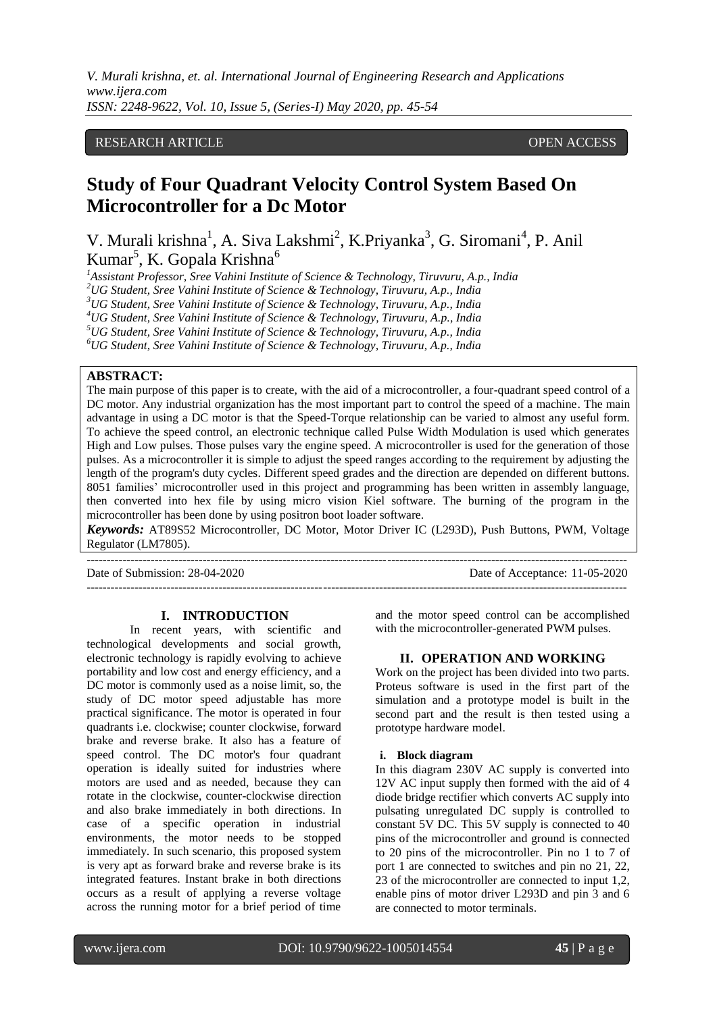## RESEARCH ARTICLE **OPEN ACCESS**

# **Study of Four Quadrant Velocity Control System Based On Microcontroller for a Dc Motor**

V. Murali krishna<sup>1</sup>, A. Siva Lakshmi<sup>2</sup>, K.Priyanka<sup>3</sup>, G. Siromani<sup>4</sup>, P. Anil Kumar<sup>5</sup>, K. Gopala Krishna<sup>6</sup>

*<sup>1</sup>Assistant Professor, Sree Vahini Institute of Science & Technology, Tiruvuru, A.p., India*

*<sup>2</sup>UG Student, Sree Vahini Institute of Science & Technology, Tiruvuru, A.p., India*

*<sup>3</sup>UG Student, Sree Vahini Institute of Science & Technology, Tiruvuru, A.p., India*

*<sup>4</sup>UG Student, Sree Vahini Institute of Science & Technology, Tiruvuru, A.p., India <sup>5</sup>UG Student, Sree Vahini Institute of Science & Technology, Tiruvuru, A.p., India*

*<sup>6</sup>UG Student, Sree Vahini Institute of Science & Technology, Tiruvuru, A.p., India*

## **ABSTRACT:**

The main purpose of this paper is to create, with the aid of a microcontroller, a four-quadrant speed control of a DC motor. Any industrial organization has the most important part to control the speed of a machine. The main advantage in using a DC motor is that the Speed-Torque relationship can be varied to almost any useful form. To achieve the speed control, an electronic technique called Pulse Width Modulation is used which generates High and Low pulses. Those pulses vary the engine speed. A microcontroller is used for the generation of those pulses. As a microcontroller it is simple to adjust the speed ranges according to the requirement by adjusting the length of the program's duty cycles. Different speed grades and the direction are depended on different buttons. 8051 families' microcontroller used in this project and programming has been written in assembly language, then converted into hex file by using micro vision Kiel software. The burning of the program in the microcontroller has been done by using positron boot loader software.

*Keywords:* AT89S52 Microcontroller, DC Motor, Motor Driver IC (L293D), Push Buttons, PWM, Voltage Regulator (LM7805).

---------------------------------------------------------------------------------------------------------------------------------------

Date of Submission: 28-04-2020 Date of Acceptance: 11-05-2020

---------------------------------------------------------------------------------------------------------------------------------------

#### **I. INTRODUCTION**

In recent years, with scientific and technological developments and social growth, electronic technology is rapidly evolving to achieve portability and low cost and energy efficiency, and a DC motor is commonly used as a noise limit, so, the study of DC motor speed adjustable has more practical significance. The motor is operated in four quadrants i.e. clockwise; counter clockwise, forward brake and reverse brake. It also has a feature of speed control. The DC motor's four quadrant operation is ideally suited for industries where motors are used and as needed, because they can rotate in the clockwise, counter-clockwise direction and also brake immediately in both directions. In case of a specific operation in industrial environments, the motor needs to be stopped immediately. In such scenario, this proposed system is very apt as forward brake and reverse brake is its integrated features. Instant brake in both directions occurs as a result of applying a reverse voltage across the running motor for a brief period of time and the motor speed control can be accomplished with the microcontroller-generated PWM pulses.

#### **II. OPERATION AND WORKING**

Work on the project has been divided into two parts. Proteus software is used in the first part of the simulation and a prototype model is built in the second part and the result is then tested using a prototype hardware model.

#### **i. Block diagram**

In this diagram 230V AC supply is converted into 12V AC input supply then formed with the aid of 4 diode bridge rectifier which converts AC supply into pulsating unregulated DC supply is controlled to constant 5V DC. This 5V supply is connected to 40 pins of the microcontroller and ground is connected to 20 pins of the microcontroller. Pin no 1 to 7 of port 1 are connected to switches and pin no 21, 22, 23 of the microcontroller are connected to input 1,2, enable pins of motor driver L293D and pin 3 and 6 are connected to motor terminals.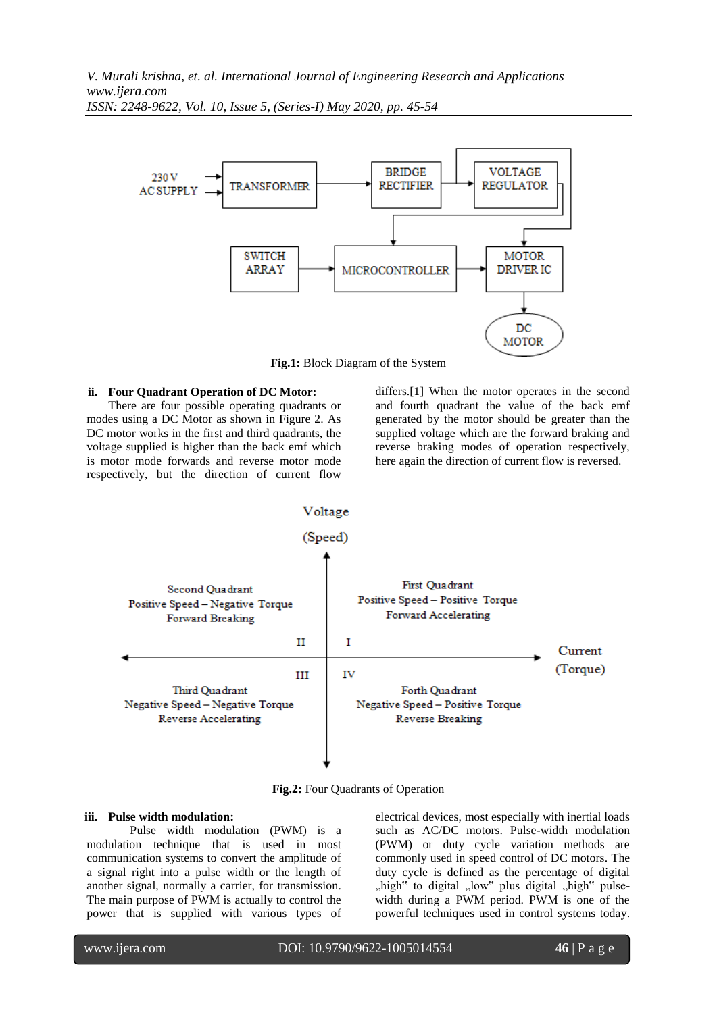

**Fig.1:** Block Diagram of the System

#### **ii. Four Quadrant Operation of DC Motor:**

There are four possible operating quadrants or modes using a DC Motor as shown in Figure 2. As DC motor works in the first and third quadrants, the voltage supplied is higher than the back emf which is motor mode forwards and reverse motor mode respectively, but the direction of current flow

differs.[1] When the motor operates in the second and fourth quadrant the value of the back emf generated by the motor should be greater than the supplied voltage which are the forward braking and reverse braking modes of operation respectively, here again the direction of current flow is reversed.



**Fig.2:** Four Quadrants of Operation

#### **iii. Pulse width modulation:**

Pulse width modulation (PWM) is a modulation technique that is used in most communication systems to convert the amplitude of a signal right into a pulse width or the length of another signal, normally a carrier, for transmission. The main purpose of PWM is actually to control the power that is supplied with various types of electrical devices, most especially with inertial loads such as AC/DC motors. Pulse-width modulation (PWM) or duty cycle variation methods are commonly used in speed control of DC motors. The duty cycle is defined as the percentage of digital "high" to digital "low" plus digital "high" pulsewidth during a PWM period. PWM is one of the powerful techniques used in control systems today.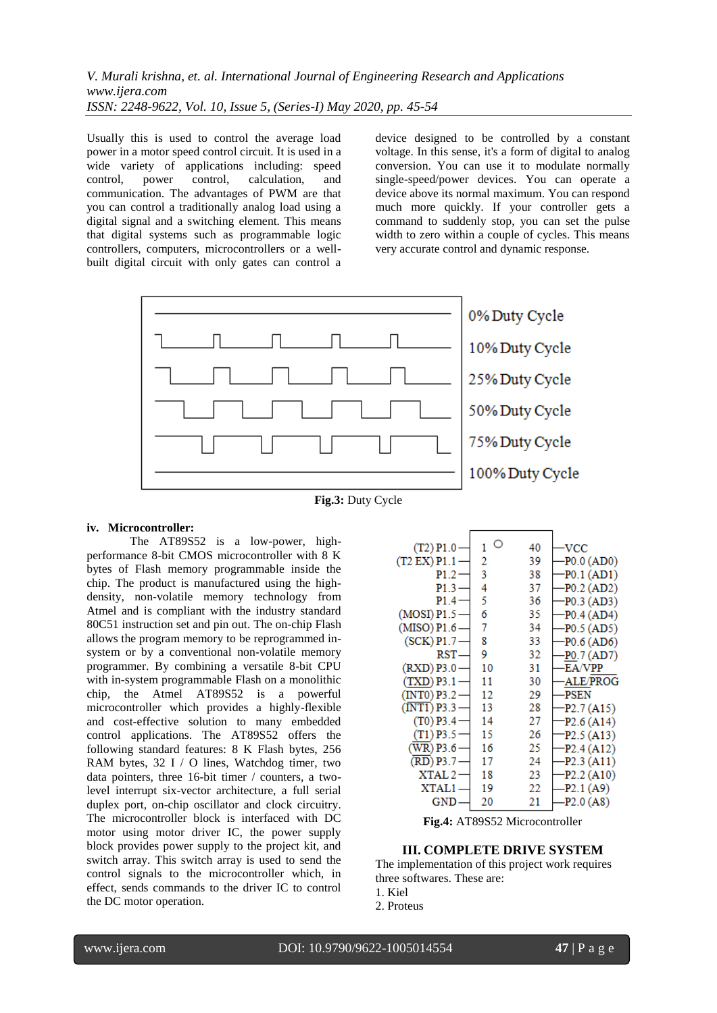Usually this is used to control the average load power in a motor speed control circuit. It is used in a wide variety of applications including: speed control, power control, calculation, and communication. The advantages of PWM are that you can control a traditionally analog load using a digital signal and a switching element. This means that digital systems such as programmable logic controllers, computers, microcontrollers or a wellbuilt digital circuit with only gates can control a device designed to be controlled by a constant voltage. In this sense, it's a form of digital to analog conversion. You can use it to modulate normally single-speed/power devices. You can operate a device above its normal maximum. You can respond much more quickly. If your controller gets a command to suddenly stop, you can set the pulse width to zero within a couple of cycles. This means very accurate control and dynamic response.





### **iv. Microcontroller:**

The AT89S52 is a low-power, highperformance 8-bit CMOS microcontroller with 8 K bytes of Flash memory programmable inside the chip. The product is manufactured using the highdensity, non-volatile memory technology from Atmel and is compliant with the industry standard 80C51 instruction set and pin out. The on-chip Flash allows the program memory to be reprogrammed insystem or by a conventional non-volatile memory programmer. By combining a versatile 8-bit CPU with in-system programmable Flash on a monolithic chip, the Atmel AT89S52 is a powerful microcontroller which provides a highly-flexible and cost-effective solution to many embedded control applications. The AT89S52 offers the following standard features: 8 K Flash bytes, 256 RAM bytes, 32 I / O lines, Watchdog timer, two data pointers, three 16-bit timer / counters, a twolevel interrupt six-vector architecture, a full serial duplex port, on-chip oscillator and clock circuitry. The microcontroller block is interfaced with DC motor using motor driver IC, the power supply block provides power supply to the project kit, and switch array. This switch array is used to send the control signals to the microcontroller which, in effect, sends commands to the driver IC to control the DC motor operation.

| $(T2)$ P1.0                      | O  | 40 | <b>VCC</b>                            |
|----------------------------------|----|----|---------------------------------------|
| (T2 EX) P1.1                     | 2  | 39 | P0.0 (AD0)                            |
| P1.2-                            | 3  | 38 | $-P0.1 (AD1)$                         |
| P1.3                             | 4  | 37 | $-P0.2 (AD2)$                         |
| P1.4                             | 5  | 36 | -P0.3 (AD3)                           |
| $(MOSI)$ P1.5                    | 6  | 35 | $-P0.4 (AD4)$                         |
| (MISO) P1.6                      | 7  | 34 | -P0.5 (AD5)                           |
| $(SCK)$ P1.7                     | 8  | 33 | -P0.6 (AD6)                           |
| RST-                             | 9  | 32 | -P0.7 (AD7)                           |
| $(RXD)$ P3.0                     | 10 | 31 | EA/VPP                                |
| (TXD) P3.1                       | 11 | 30 | ALE/PROG                              |
| (INTO) P3.2-                     | 12 | 29 | <b>PSEN</b>                           |
| $(\overline{\text{INT1}})$ P3.3. | 13 | 28 | -P <sub>2</sub> .7 (A <sub>15</sub> ) |
| $(T0)$ P3.4                      | 14 | 27 | -P2.6 (A14)                           |
| (T1) P3.5-                       | 15 | 26 | -P2.5 (A13)                           |
| (WR) P3.6                        | 16 | 25 | $-P2.4(A12)$                          |
| (RD) P3.7                        | 17 | 24 | -P2.3 (A11)                           |
| XTAL 2                           | 18 | 23 | P2.2(A10)                             |
| XTAL1                            | 19 | 22 | $-P2.1(A9)$                           |
| GND                              | 20 | 21 | -P2.0 (A8)                            |
|                                  |    |    |                                       |

**Fig.4:** AT89S52 Microcontroller

## **III. COMPLETE DRIVE SYSTEM**

The implementation of this project work requires three softwares. These are:

1. Kiel

2. Proteus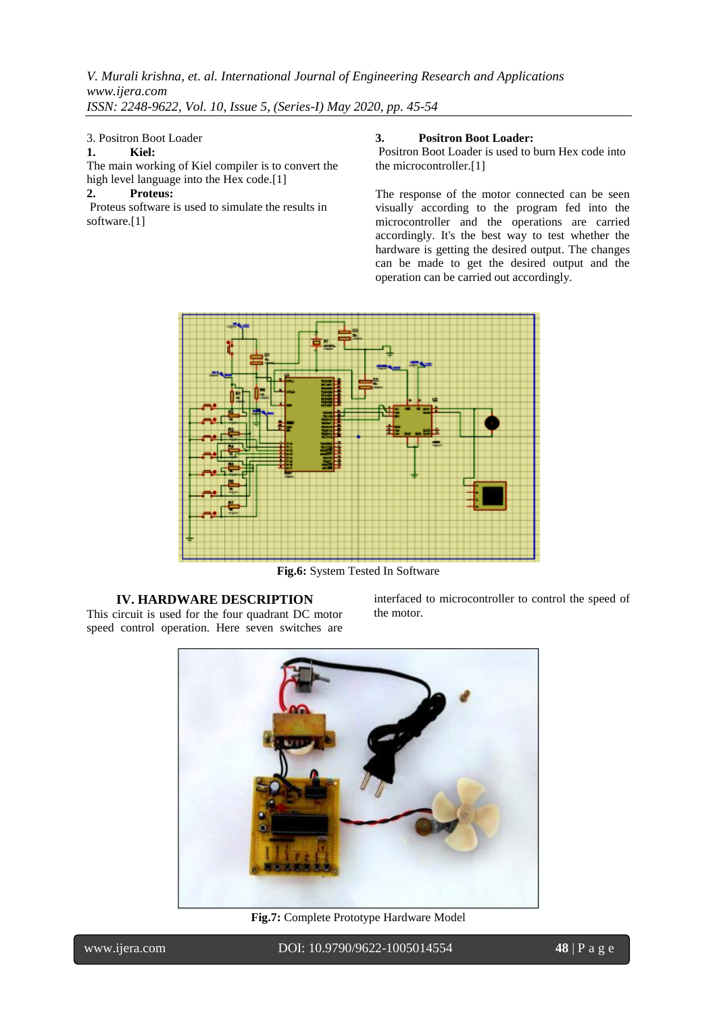## 3. Positron Boot Loader

## **1. Kiel:**

The main working of Kiel compiler is to convert the high level language into the Hex code.<sup>[1]</sup>

# **2. Proteus:**

Proteus software is used to simulate the results in software.[1]

## **3. Positron Boot Loader:**

Positron Boot Loader is used to burn Hex code into the microcontroller.[1]

The response of the motor connected can be seen visually according to the program fed into the microcontroller and the operations are carried accordingly. It's the best way to test whether the hardware is getting the desired output. The changes can be made to get the desired output and the operation can be carried out accordingly.



**Fig.6:** System Tested In Software

## **IV. HARDWARE DESCRIPTION** This circuit is used for the four quadrant DC motor speed control operation. Here seven switches are

interfaced to microcontroller to control the speed of the motor.



**Fig.7:** Complete Prototype Hardware Model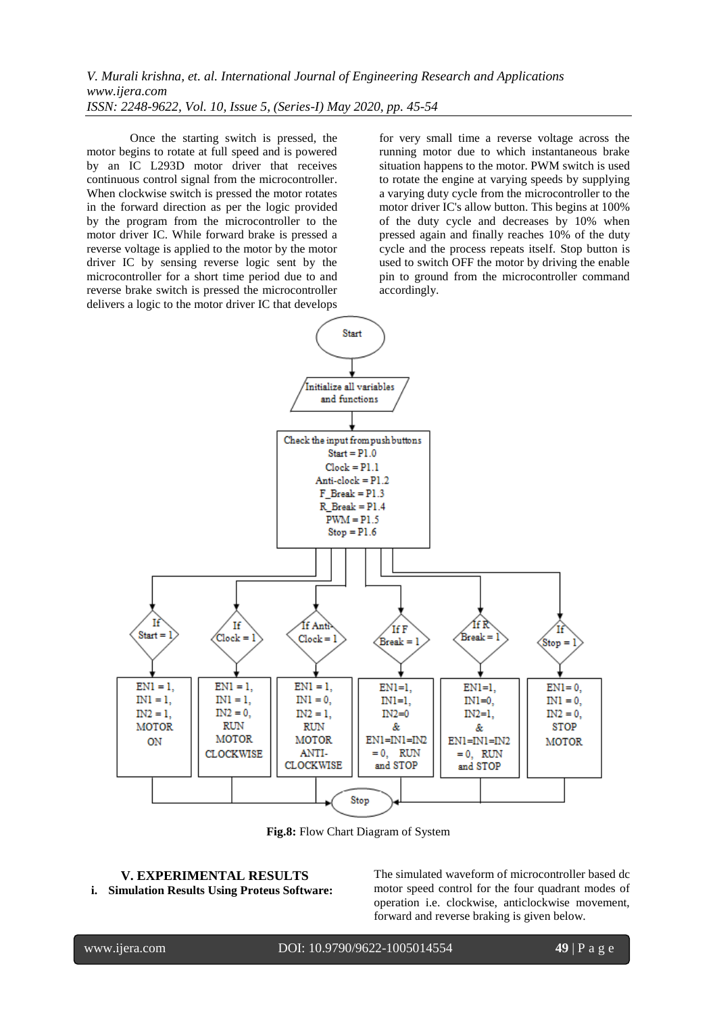Once the starting switch is pressed, the motor begins to rotate at full speed and is powered by an IC L293D motor driver that receives continuous control signal from the microcontroller. When clockwise switch is pressed the motor rotates in the forward direction as per the logic provided by the program from the microcontroller to the motor driver IC. While forward brake is pressed a reverse voltage is applied to the motor by the motor driver IC by sensing reverse logic sent by the microcontroller for a short time period due to and reverse brake switch is pressed the microcontroller delivers a logic to the motor driver IC that develops

for very small time a reverse voltage across the running motor due to which instantaneous brake situation happens to the motor. PWM switch is used to rotate the engine at varying speeds by supplying a varying duty cycle from the microcontroller to the motor driver IC's allow button. This begins at 100% of the duty cycle and decreases by 10% when pressed again and finally reaches 10% of the duty cycle and the process repeats itself. Stop button is used to switch OFF the motor by driving the enable pin to ground from the microcontroller command accordingly.



**Fig.8:** Flow Chart Diagram of System

#### **V. EXPERIMENTAL RESULTS i. Simulation Results Using Proteus Software:**

The simulated waveform of microcontroller based dc motor speed control for the four quadrant modes of operation i.e. clockwise, anticlockwise movement, forward and reverse braking is given below.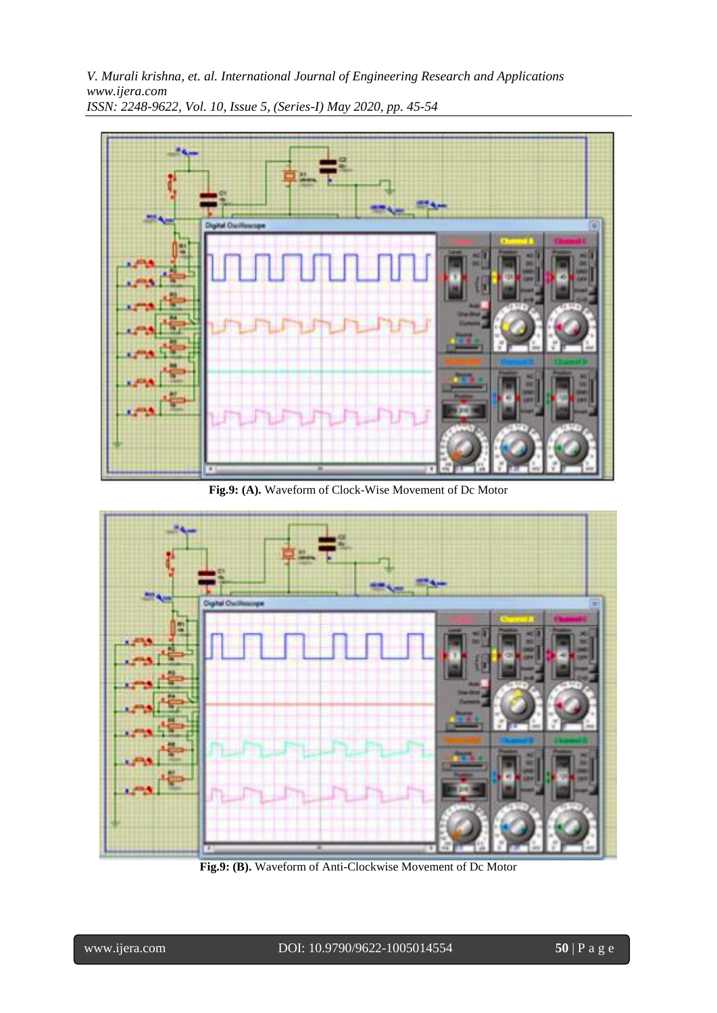

**Fig.9: (A).** Waveform of Clock-Wise Movement of Dc Motor



**Fig.9: (B).** Waveform of Anti-Clockwise Movement of Dc Motor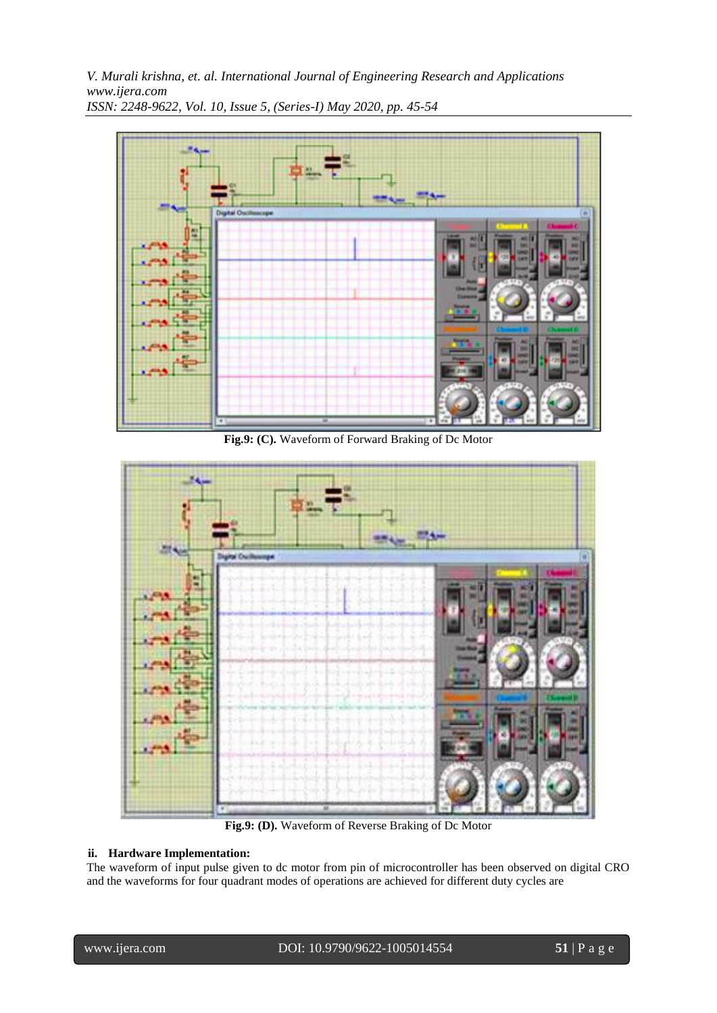

**Fig.9: (C).** Waveform of Forward Braking of Dc Motor



**Fig.9: (D).** Waveform of Reverse Braking of Dc Motor

## **ii. Hardware Implementation:**

The waveform of input pulse given to dc motor from pin of microcontroller has been observed on digital CRO and the waveforms for four quadrant modes of operations are achieved for different duty cycles are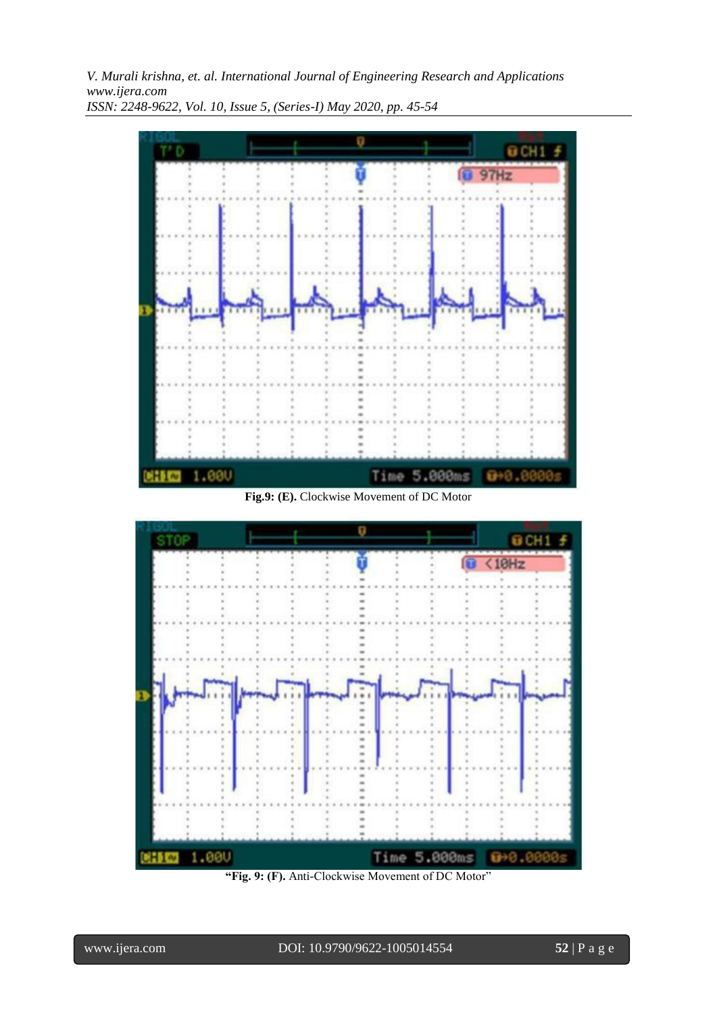

**Fig.9: (E).** Clockwise Movement of DC Motor



**"Fig. 9: (F).** Anti-Clockwise Movement of DC Motor"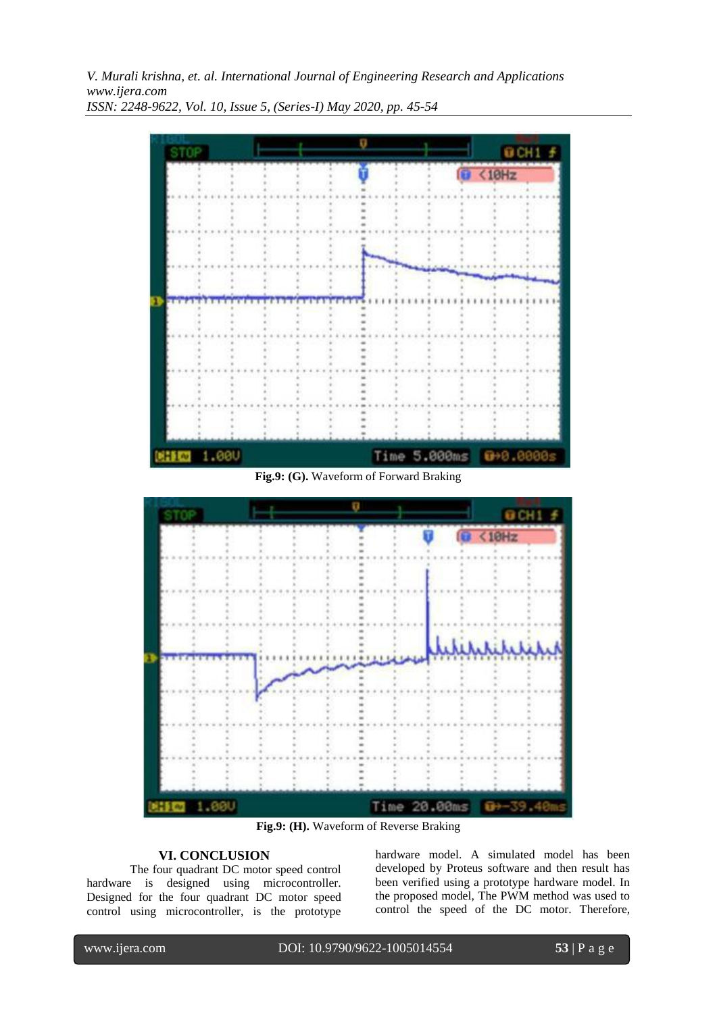

**Fig.9: (G).** Waveform of Forward Braking



**Fig.9: (H).** Waveform of Reverse Braking

# **VI. CONCLUSION**

The four quadrant DC motor speed control hardware is designed using microcontroller. Designed for the four quadrant DC motor speed control using microcontroller, is the prototype hardware model. A simulated model has been developed by Proteus software and then result has been verified using a prototype hardware model. In the proposed model, The PWM method was used to control the speed of the DC motor. Therefore,